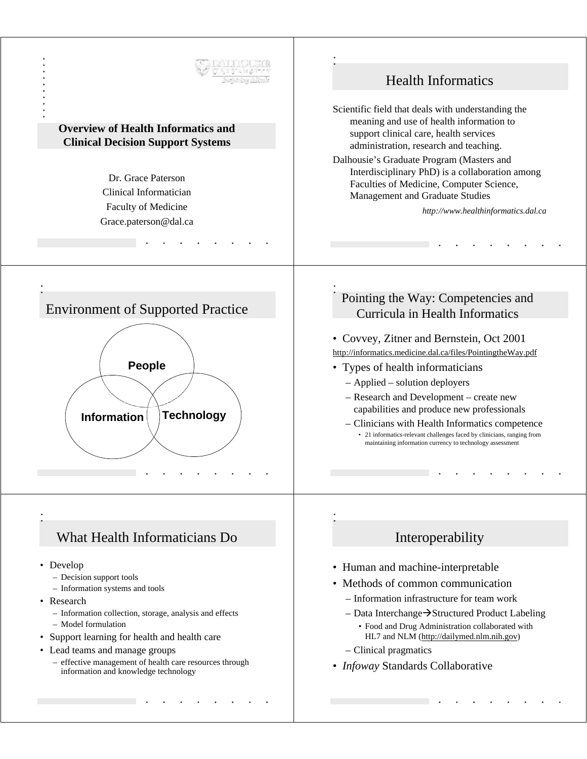

- Research
	- Information collection, storage, analysis and effects
	- Model formulation
- Support learning for health and health care
- Lead teams and manage groups
	- effective management of health care resources through information and knowledge technology
- Information infrastructure for team work
- $-$  Data Interchange $\rightarrow$ Structured Product Labeling • Food and Drug Administration collaborated with HL7 and NLM (http://dailymed.nlm.nih.gov)
- Clinical pragmatics
- *Infoway* Standards Collaborative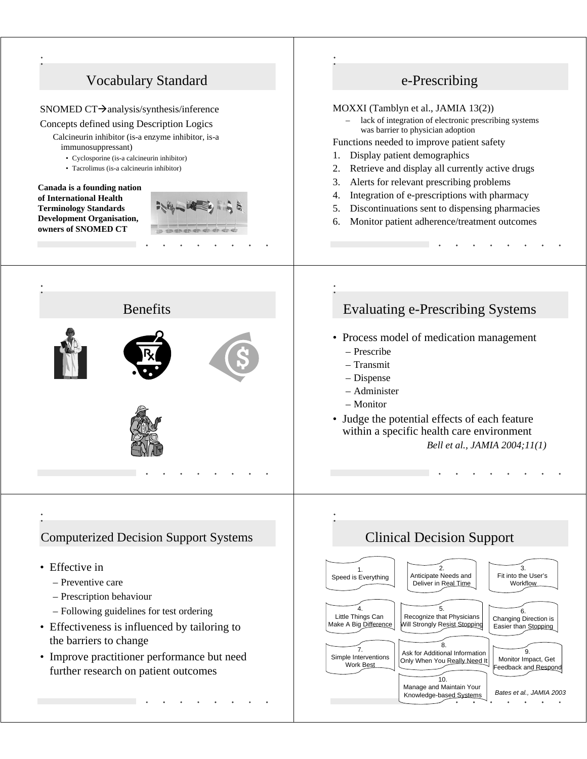